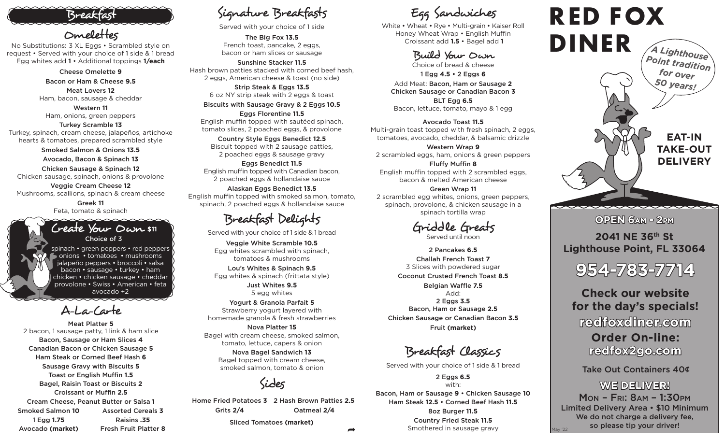## Breakfast

## Omelettes

No Substitutions: 3 XL Eggs • Scrambled style on request • Served with your choice of 1 side & 1 bread Egg whites add **1** • Additional toppings **1/each**

#### Cheese Omelette **9**

Bacon or Ham & Cheese **9.5**

Meat Lovers **12** Ham, bacon, sausage & cheddar

Western **11** Ham, onions, green peppers

Turkey Scramble **13**

Turkey, spinach, cream cheese, jalapeños, artichoke hearts & tomatoes, prepared scrambled style

> Smoked Salmon & Onions **13.5** Avocado, Bacon & Spinach **13**

Chicken Sausage & Spinach **12**

Chicken sausage, spinach, onions & provolone Veggie Cream Cheese **12** Mushrooms, scallions, spinach & cream cheese

> Greek **11** Feta, tomato & spinach

#### Create Your Own **\$11** Choice of 3

spinach • green peppers • red peppers onions • tomatoes • mushrooms jalapeño peppers • broccoli • salsa bacon • sausage • turkey • ham chicken • chicken sausage • cheddar provolone • Swiss • American • feta avocado +2

## A-La-Carte

Meat Platter **5** 2 bacon, 1 sausage patty, 1 link & ham slice Bacon, Sausage or Ham Slices **4** Canadian Bacon or Chicken Sausage **5** Ham Steak or Corned Beef Hash **6** Sausage Gravy with Biscuits **5** Toast or English Muffin **1.5** Bagel, Raisin Toast or Biscuits **2** Croissant or Muffin **2.5** Cream Cheese, Peanut Butter or Salsa **1** Smoked Salmon **10** 1 Egg **1.75** Avocado **(market)** Assorted Cereals **3** Raisins **.35** Fresh Fruit Platter **8**

# Signature Breakfasts

Served with your choice of 1 side

The Big Fox **13.5** French toast, pancake, 2 eggs, bacon or ham slices or sausage

Sunshine Stacker **11.5** Hash brown patties stacked with corned beef hash, 2 eggs, American cheese & toast (no side)

Strip Steak & Eggs **13.5** 6 oz NY strip steak with 2 eggs & toast Biscuits with Sausage Gravy & 2 Eggs **10.5**

Eggs Florentine **11.5** English muffin topped with sautéed spinach, tomato slices, 2 poached eggs, & provolone

Country Style Eggs Benedict **12.5** Biscuit topped with 2 sausage patties, 2 poached eggs & sausage gravy

Eggs Benedict **11.5** English muffin topped with Canadian bacon, 2 poached eggs & hollandaise sauce

Alaskan Eggs Benedict **13.5** English muffin topped with smoked salmon, tomato, spinach, 2 poached eggs & hollandaise sauce

# spinach tortilla wrap Breakfast Delights

Served with your choice of 1 side & 1 bread

Veggie White Scramble **10.5** Egg whites scrambled with spinach, tomatoes & mushrooms

Lou's Whites & Spinach **9.5** Egg whites & spinach (frittata style)

> Just Whites **9.5** 5 egg whites

Yogurt & Granola Parfait **5** Strawberry yogurt layered with homemade granola & fresh strawberries

Nova Platter **15** Bagel with cream cheese, smoked salmon, tomato, lettuce, capers & onion

> Nova Bagel Sandwich **13** Bagel topped with cream cheese, smoked salmon, tomato & onion

# Sides

Home Fried Potatoes **3** 2 Hash Brown Patties **2.5** Grits **2/4** Oatmeal **2/4**

Sliced Tomatoes **(market)**

# Egg Sandwiches

White • Wheat • Rye • Multi-grain • Kaiser Roll Honey Wheat Wrap • English Muffin Croissant add **1.5** • Bagel add **1**

### Build Your Own

Choice of bread & cheese 1 Egg **4.5 •** 2 Eggs **6** 

Add Meat: Bacon, Ham or Sausage **2** Chicken Sausage or Canadian Bacon **3**

BLT Egg **6.5** Bacon, lettuce, tomato, mayo & 1 egg

Avocado Toast **11.5** Multi-grain toast topped with fresh spinach, 2 eggs, tomatoes, avocado, cheddar, & balsamic drizzle

Western Wrap **9** 2 scrambled eggs, ham, onions & green peppers

Fluffy Muffin **8** English muffin topped with 2 scrambled eggs, bacon & melted American cheese

Green Wrap **11** 2 scrambled egg whites, onions, green peppers, spinach, provolone, & chicken sausage in a

Griddle Greats Served until noon

2 Pancakes **6.5** Challah French Toast **7** 3 Slices with powdered sugar Coconut Crusted French Toast **8.5** Belgian Waffle **7.5** Add: 2 Eggs **3.5** Bacon, Ham or Sausage **2.5** Chicken Sausage or Canadian Bacon **3.5** Fruit **(market)**

Breakfast Classics

Served with your choice of 1 side & 1 bread

2 Eggs **6.5** with: Bacon, Ham or Sausage **9** • Chicken Sausage **10** Ham Steak **12.5** • Corned Beef Hash **11.5** 8oz Burger **11.5** Country Fried Steak **11.5** Smothered in sausage gravy

# **RED FOX**



**Lighthouse Point, FL 33064**

**954-783-7714**

**Check our website for the day's specials! redfoxdiner.com Order On-line: redfox2go.com**

Take Out Containers 40¢

WE DELIMER! Mon – Fri: 8am – 1:30pm Limited Delivery Area • \$10 Minimum We do not charge a delivery fee, so please tip your driver! ay '22

 $\rightarrow$